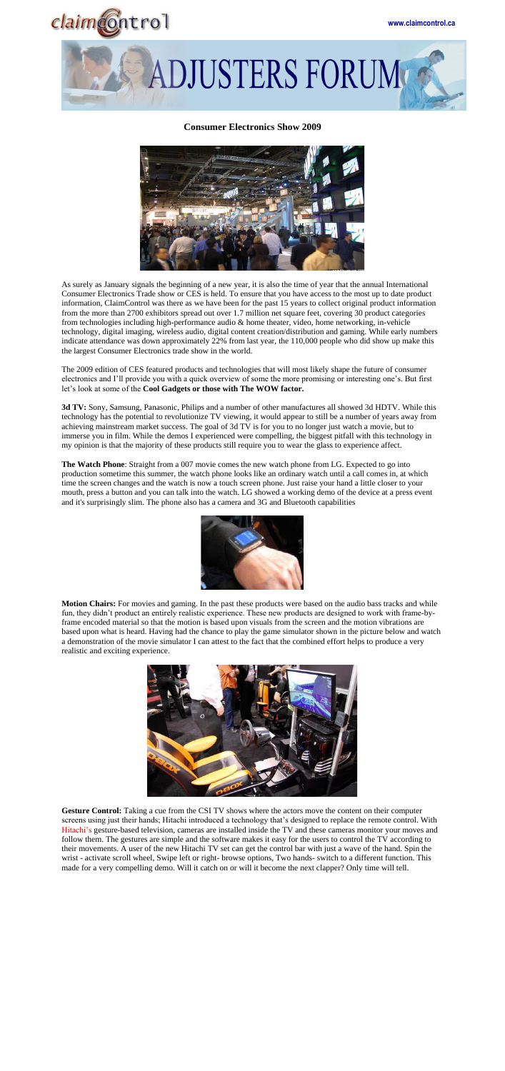



## **Consumer Electronics Show 2009**



As surely as January signals the beginning of a new year, it is also the time of year that the annual International Consumer Electronics Trade show or CES is held. To ensure that you have access to the most up to date product information, ClaimControl was there as we have been for the past 15 years to collect original product information from the more than 2700 exhibitors spread out over 1.7 million net square feet, covering 30 product categories from technologies including high-performance audio & home theater, video, home networking, in-vehicle technology, digital imaging, wireless audio, digital content creation/distribution and gaming. While early numbers indicate attendance was down approximately 22% from last year, the 110,000 people who did show up make this the largest Consumer Electronics trade show in the world.

The 2009 edition of CES featured products and technologies that will most likely shape the future of consumer electronics and I'll provide you with a quick overview of some the more promising or interesting one's. But first let's look at some of the **Cool Gadgets or those with The WOW factor.**

**3d TV:** Sony, Samsung, Panasonic, Philips and a number of other manufactures all showed 3d HDTV. While this technology has the potential to revolutionize TV viewing, it would appear to still be a number of years away from achieving mainstream market success. The goal of 3d TV is for you to no longer just watch a movie, but to immerse you in film. While the demos I experienced were compelling, the biggest pitfall with this technology in my opinion is that the majority of these products still require you to wear the glass to experience affect.

**Gesture Control:** Taking a cue from the CSI TV shows where the actors move the content on their computer screens using just their hands; Hitachi introduced a technology that's designed to replace the remote control. With Hitachi's gesture-based television, cameras are installed inside the TV and these cameras monitor your moves and follow them. The gestures are simple and the software makes it easy for the users to control the TV according to their movements. A user of the new Hitachi TV set can get the control bar with just a wave of the hand. Spin the wrist - activate scroll wheel, Swipe left or right- browse options, Two hands- switch to a different function. This made for a very compelling demo. Will it catch on or will it become the next clapper? Only time will tell.

**The Watch Phone**: Straight from a 007 movie comes the new watch phone from LG. Expected to go into production sometime this summer, the watch phone looks like an ordinary watch until a call comes in, at which time the screen changes and the watch is now a touch screen phone. Just raise your hand a little closer to your mouth, press a button and you can talk into the watch. LG showed a working demo of the device at a press event and it's surprisingly slim. The phone also has a camera and 3G and Bluetooth capabilities



**Motion Chairs:** For movies and gaming. In the past these products were based on the audio bass tracks and while fun, they didn't product an entirely realistic experience. These new products are designed to work with frame-byframe encoded material so that the motion is based upon visuals from the screen and the motion vibrations are based upon what is heard. Having had the chance to play the game simulator shown in the picture below and watch a demonstration of the movie simulator I can attest to the fact that the combined effort helps to produce a very realistic and exciting experience.